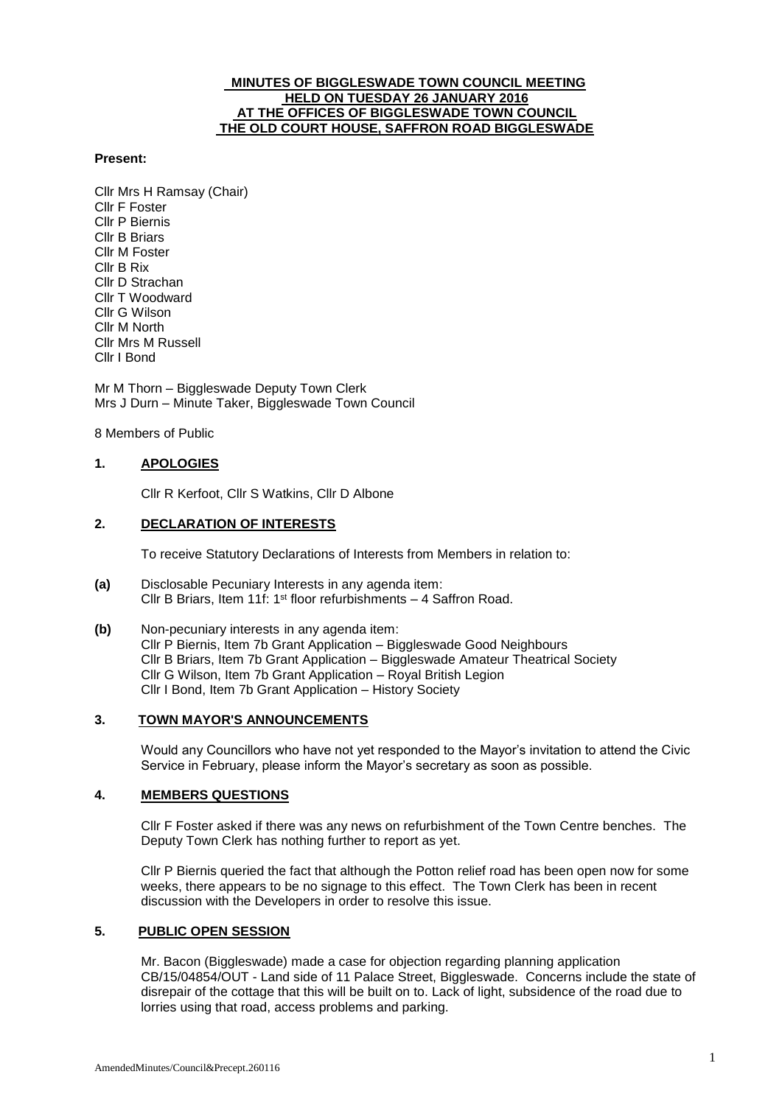### **MINUTES OF BIGGLESWADE TOWN COUNCIL MEETING HELD ON TUESDAY 26 JANUARY 2016 AT THE OFFICES OF BIGGLESWADE TOWN COUNCIL THE OLD COURT HOUSE, SAFFRON ROAD BIGGLESWADE**

### **Present:**

Cllr Mrs H Ramsay (Chair) Cllr F Foster Cllr P Biernis Cllr B Briars Cllr M Foster Cllr B Rix Cllr D Strachan Cllr T Woodward Cllr G Wilson Cllr M North Cllr Mrs M Russell Cllr I Bond

Mr M Thorn – Biggleswade Deputy Town Clerk Mrs J Durn – Minute Taker, Biggleswade Town Council

8 Members of Public

## **1. APOLOGIES**

Cllr R Kerfoot, Cllr S Watkins, Cllr D Albone

## **2. DECLARATION OF INTERESTS**

To receive Statutory Declarations of Interests from Members in relation to:

- **(a)** Disclosable Pecuniary Interests in any agenda item: Cllr B Briars, Item 11f: 1st floor refurbishments – 4 Saffron Road.
- **(b)** Non-pecuniary interests in any agenda item: Cllr P Biernis, Item 7b Grant Application – Biggleswade Good Neighbours Cllr B Briars, Item 7b Grant Application – Biggleswade Amateur Theatrical Society Cllr G Wilson, Item 7b Grant Application – Royal British Legion Cllr I Bond, Item 7b Grant Application – History Society

### **3. TOWN MAYOR'S ANNOUNCEMENTS**

Would any Councillors who have not yet responded to the Mayor's invitation to attend the Civic Service in February, please inform the Mayor's secretary as soon as possible.

### **4. MEMBERS QUESTIONS**

Cllr F Foster asked if there was any news on refurbishment of the Town Centre benches. The Deputy Town Clerk has nothing further to report as yet.

Cllr P Biernis queried the fact that although the Potton relief road has been open now for some weeks, there appears to be no signage to this effect. The Town Clerk has been in recent discussion with the Developers in order to resolve this issue.

### **5. PUBLIC OPEN SESSION**

Mr. Bacon (Biggleswade) made a case for objection regarding planning application CB/15/04854/OUT - Land side of 11 Palace Street, Biggleswade. Concerns include the state of disrepair of the cottage that this will be built on to. Lack of light, subsidence of the road due to lorries using that road, access problems and parking.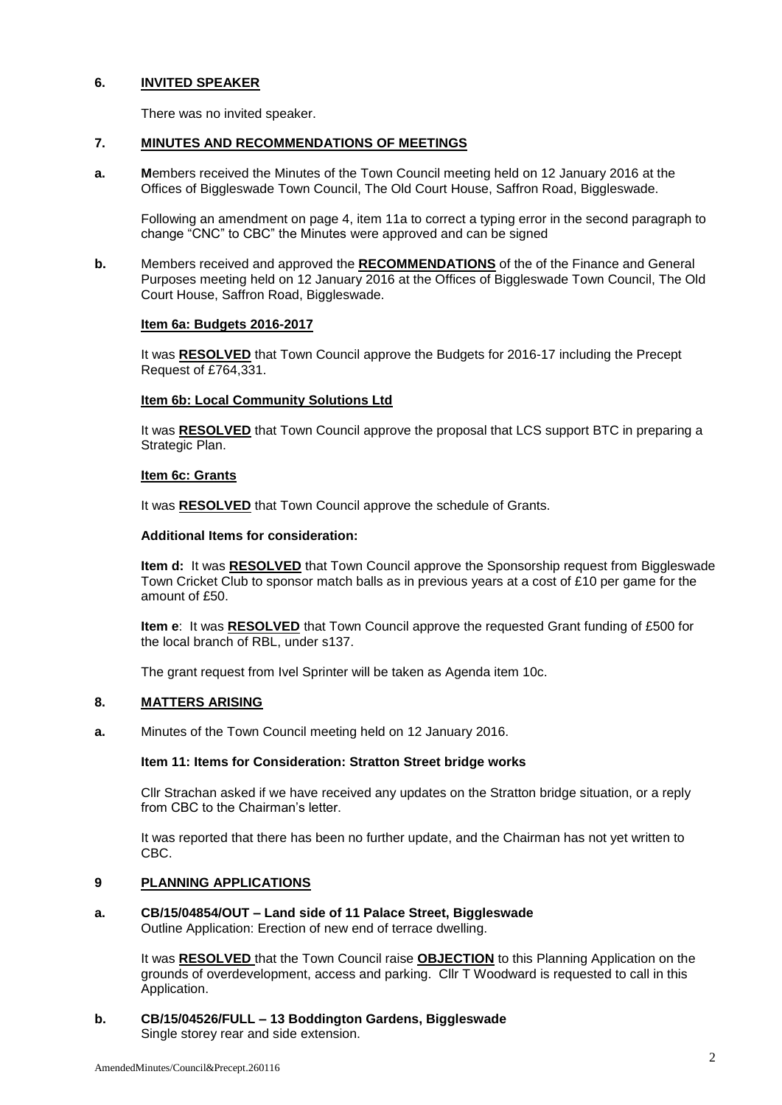## **6. INVITED SPEAKER**

There was no invited speaker.

## **7. MINUTES AND RECOMMENDATIONS OF MEETINGS**

**a. M**embers received the Minutes of the Town Council meeting held on 12 January 2016 at the Offices of Biggleswade Town Council, The Old Court House, Saffron Road, Biggleswade.

Following an amendment on page 4, item 11a to correct a typing error in the second paragraph to change "CNC" to CBC" the Minutes were approved and can be signed

**b.** Members received and approved the **RECOMMENDATIONS** of the of the Finance and General Purposes meeting held on 12 January 2016 at the Offices of Biggleswade Town Council, The Old Court House, Saffron Road, Biggleswade.

### **Item 6a: Budgets 2016-2017**

It was **RESOLVED** that Town Council approve the Budgets for 2016-17 including the Precept Request of £764,331.

## **Item 6b: Local Community Solutions Ltd**

It was **RESOLVED** that Town Council approve the proposal that LCS support BTC in preparing a Strategic Plan.

### **Item 6c: Grants**

It was **RESOLVED** that Town Council approve the schedule of Grants.

### **Additional Items for consideration:**

**Item d:** It was **RESOLVED** that Town Council approve the Sponsorship request from Biggleswade Town Cricket Club to sponsor match balls as in previous years at a cost of £10 per game for the amount of £50.

**Item e**: It was **RESOLVED** that Town Council approve the requested Grant funding of £500 for the local branch of RBL, under s137.

The grant request from Ivel Sprinter will be taken as Agenda item 10c.

## **8. MATTERS ARISING**

**a.** Minutes of the Town Council meeting held on 12 January 2016.

### **Item 11: Items for Consideration: Stratton Street bridge works**

Cllr Strachan asked if we have received any updates on the Stratton bridge situation, or a reply from CBC to the Chairman's letter.

It was reported that there has been no further update, and the Chairman has not yet written to CBC.

## **9 PLANNING APPLICATIONS**

# **a. CB/15/04854/OUT – Land side of 11 Palace Street, Biggleswade**

Outline Application: Erection of new end of terrace dwelling.

It was **RESOLVED** that the Town Council raise **OBJECTION** to this Planning Application on the grounds of overdevelopment, access and parking. Cllr T Woodward is requested to call in this Application.

#### **b. CB/15/04526/FULL – 13 Boddington Gardens, Biggleswade** Single storey rear and side extension.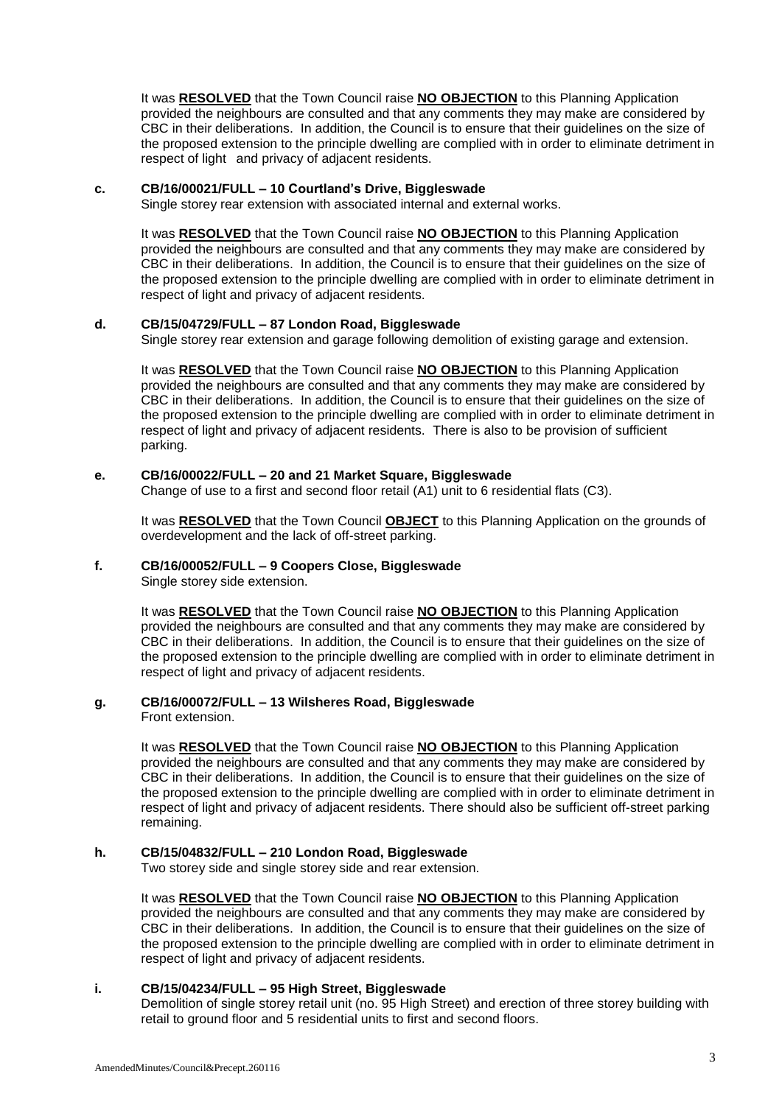It was **RESOLVED** that the Town Council raise **NO OBJECTION** to this Planning Application provided the neighbours are consulted and that any comments they may make are considered by CBC in their deliberations. In addition, the Council is to ensure that their guidelines on the size of the proposed extension to the principle dwelling are complied with in order to eliminate detriment in respect of light and privacy of adjacent residents.

### **c. CB/16/00021/FULL – 10 Courtland's Drive, Biggleswade**

Single storey rear extension with associated internal and external works.

It was **RESOLVED** that the Town Council raise **NO OBJECTION** to this Planning Application provided the neighbours are consulted and that any comments they may make are considered by CBC in their deliberations. In addition, the Council is to ensure that their guidelines on the size of the proposed extension to the principle dwelling are complied with in order to eliminate detriment in respect of light and privacy of adjacent residents.

## **d. CB/15/04729/FULL – 87 London Road, Biggleswade**

Single storey rear extension and garage following demolition of existing garage and extension.

It was **RESOLVED** that the Town Council raise **NO OBJECTION** to this Planning Application provided the neighbours are consulted and that any comments they may make are considered by CBC in their deliberations. In addition, the Council is to ensure that their guidelines on the size of the proposed extension to the principle dwelling are complied with in order to eliminate detriment in respect of light and privacy of adjacent residents. There is also to be provision of sufficient parking.

## **e. CB/16/00022/FULL – 20 and 21 Market Square, Biggleswade**

Change of use to a first and second floor retail (A1) unit to 6 residential flats (C3).

It was **RESOLVED** that the Town Council **OBJECT** to this Planning Application on the grounds of overdevelopment and the lack of off-street parking.

## **f. CB/16/00052/FULL – 9 Coopers Close, Biggleswade**

Single storey side extension.

It was **RESOLVED** that the Town Council raise **NO OBJECTION** to this Planning Application provided the neighbours are consulted and that any comments they may make are considered by CBC in their deliberations. In addition, the Council is to ensure that their guidelines on the size of the proposed extension to the principle dwelling are complied with in order to eliminate detriment in respect of light and privacy of adjacent residents.

## **g. CB/16/00072/FULL – 13 Wilsheres Road, Biggleswade**

Front extension.

It was **RESOLVED** that the Town Council raise **NO OBJECTION** to this Planning Application provided the neighbours are consulted and that any comments they may make are considered by CBC in their deliberations. In addition, the Council is to ensure that their guidelines on the size of the proposed extension to the principle dwelling are complied with in order to eliminate detriment in respect of light and privacy of adjacent residents. There should also be sufficient off-street parking remaining.

## **h. CB/15/04832/FULL – 210 London Road, Biggleswade**

Two storey side and single storey side and rear extension.

It was **RESOLVED** that the Town Council raise **NO OBJECTION** to this Planning Application provided the neighbours are consulted and that any comments they may make are considered by CBC in their deliberations. In addition, the Council is to ensure that their guidelines on the size of the proposed extension to the principle dwelling are complied with in order to eliminate detriment in respect of light and privacy of adjacent residents.

### **i. CB/15/04234/FULL – 95 High Street, Biggleswade**

Demolition of single storey retail unit (no. 95 High Street) and erection of three storey building with retail to ground floor and 5 residential units to first and second floors.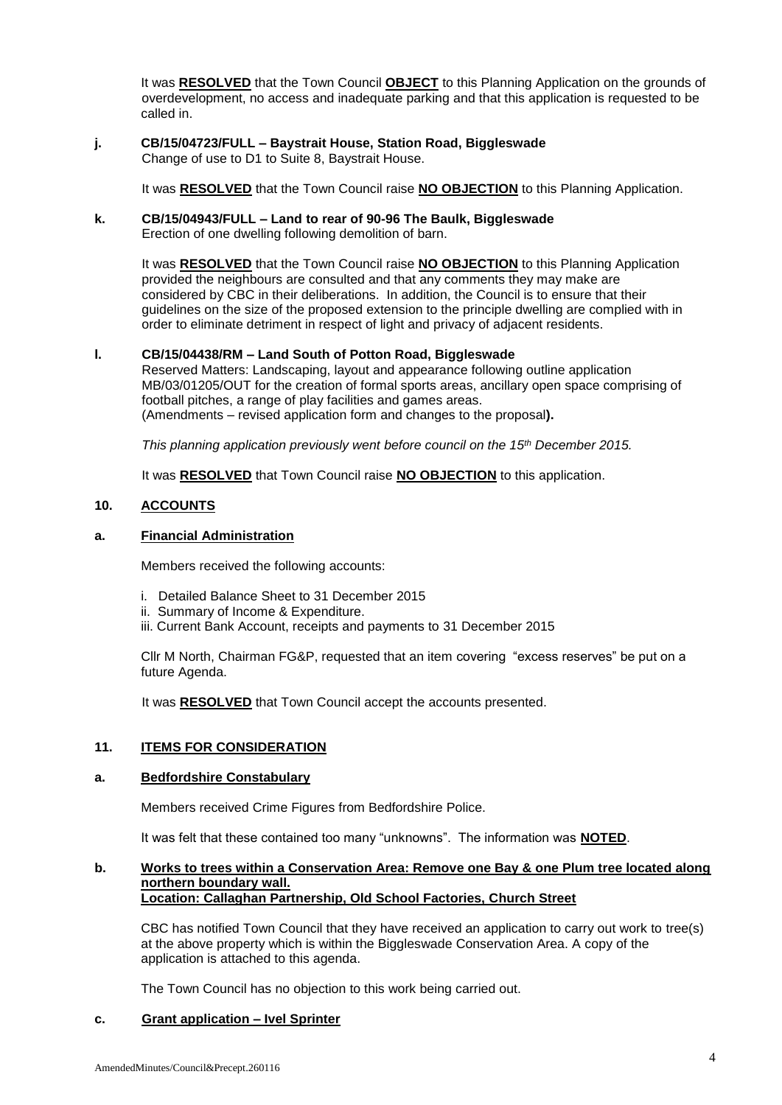It was **RESOLVED** that the Town Council **OBJECT** to this Planning Application on the grounds of overdevelopment, no access and inadequate parking and that this application is requested to be called in.

**j. CB/15/04723/FULL – Baystrait House, Station Road, Biggleswade**  Change of use to D1 to Suite 8, Baystrait House.

It was **RESOLVED** that the Town Council raise **NO OBJECTION** to this Planning Application.

### **k. CB/15/04943/FULL – Land to rear of 90-96 The Baulk, Biggleswade** Erection of one dwelling following demolition of barn.

It was **RESOLVED** that the Town Council raise **NO OBJECTION** to this Planning Application provided the neighbours are consulted and that any comments they may make are considered by CBC in their deliberations. In addition, the Council is to ensure that their guidelines on the size of the proposed extension to the principle dwelling are complied with in order to eliminate detriment in respect of light and privacy of adjacent residents.

## **l. CB/15/04438/RM – Land South of Potton Road, Biggleswade**

Reserved Matters: Landscaping, layout and appearance following outline application MB/03/01205/OUT for the creation of formal sports areas, ancillary open space comprising of football pitches, a range of play facilities and games areas. (Amendments – revised application form and changes to the proposal**).**

*This planning application previously went before council on the 15th December 2015.* 

It was **RESOLVED** that Town Council raise **NO OBJECTION** to this application.

## **10. ACCOUNTS**

## **a. Financial Administration**

Members received the following accounts:

- i. Detailed Balance Sheet to 31 December 2015
- ii. Summary of Income & Expenditure.
- iii. Current Bank Account, receipts and payments to 31 December 2015

Cllr M North, Chairman FG&P, requested that an item covering "excess reserves" be put on a future Agenda.

It was **RESOLVED** that Town Council accept the accounts presented.

### **11. ITEMS FOR CONSIDERATION**

### **a. Bedfordshire Constabulary**

Members received Crime Figures from Bedfordshire Police.

It was felt that these contained too many "unknowns". The information was **NOTED**.

#### **b. Works to trees within a Conservation Area: Remove one Bay & one Plum tree located along northern boundary wall. Location: Callaghan Partnership, Old School Factories, Church Street**

CBC has notified Town Council that they have received an application to carry out work to tree(s) at the above property which is within the Biggleswade Conservation Area. A copy of the application is attached to this agenda.

The Town Council has no objection to this work being carried out.

### **c. Grant application – Ivel Sprinter**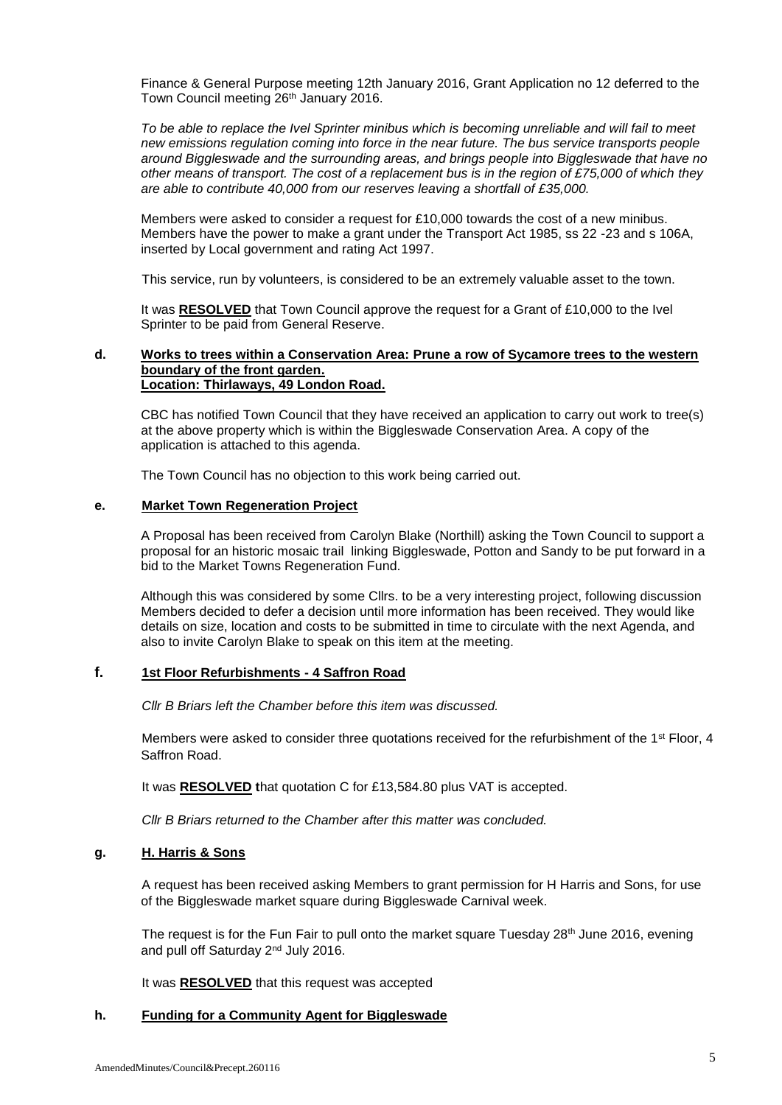Finance & General Purpose meeting 12th January 2016, Grant Application no 12 deferred to the Town Council meeting 26th January 2016.

*To be able to replace the Ivel Sprinter minibus which is becoming unreliable and will fail to meet new emissions regulation coming into force in the near future. The bus service transports people around Biggleswade and the surrounding areas, and brings people into Biggleswade that have no other means of transport. The cost of a replacement bus is in the region of £75,000 of which they are able to contribute 40,000 from our reserves leaving a shortfall of £35,000.* 

Members were asked to consider a request for £10,000 towards the cost of a new minibus. Members have the power to make a grant under the Transport Act 1985, ss 22 -23 and s 106A, inserted by Local government and rating Act 1997.

This service, run by volunteers, is considered to be an extremely valuable asset to the town.

It was **RESOLVED** that Town Council approve the request for a Grant of £10,000 to the Ivel Sprinter to be paid from General Reserve.

### **d. Works to trees within a Conservation Area: Prune a row of Sycamore trees to the western boundary of the front garden. Location: Thirlaways, 49 London Road.**

CBC has notified Town Council that they have received an application to carry out work to tree(s) at the above property which is within the Biggleswade Conservation Area. A copy of the application is attached to this agenda.

The Town Council has no objection to this work being carried out.

#### **e. Market Town Regeneration Project**

A Proposal has been received from Carolyn Blake (Northill) asking the Town Council to support a proposal for an historic mosaic trail linking Biggleswade, Potton and Sandy to be put forward in a bid to the Market Towns Regeneration Fund.

Although this was considered by some Cllrs. to be a very interesting project, following discussion Members decided to defer a decision until more information has been received. They would like details on size, location and costs to be submitted in time to circulate with the next Agenda, and also to invite Carolyn Blake to speak on this item at the meeting.

## **f. 1st Floor Refurbishments - 4 Saffron Road**

*Cllr B Briars left the Chamber before this item was discussed.*

Members were asked to consider three quotations received for the refurbishment of the 1<sup>st</sup> Floor, 4 Saffron Road.

It was **RESOLVED t**hat quotation C for £13,584.80 plus VAT is accepted.

*Cllr B Briars returned to the Chamber after this matter was concluded.*

### **g. H. Harris & Sons**

A request has been received asking Members to grant permission for H Harris and Sons, for use of the Biggleswade market square during Biggleswade Carnival week.

The request is for the Fun Fair to pull onto the market square Tuesday  $28<sup>th</sup>$  June 2016, evening and pull off Saturday 2nd July 2016.

It was **RESOLVED** that this request was accepted

### **h. Funding for a Community Agent for Biggleswade**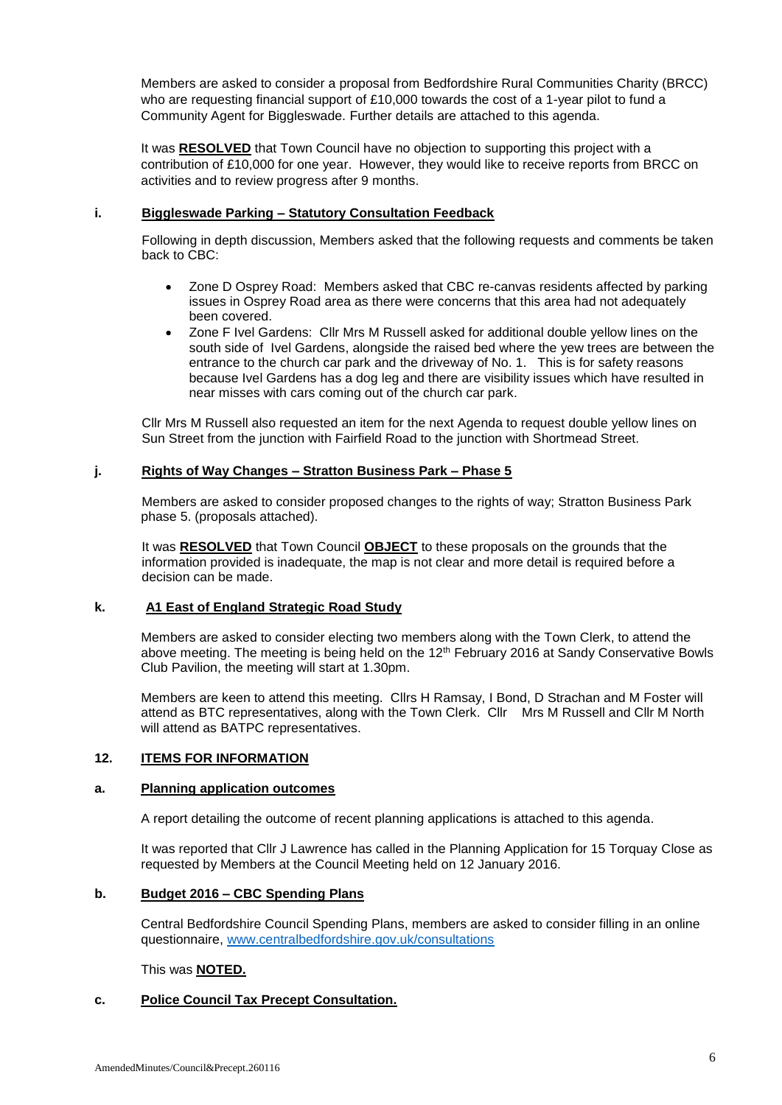Members are asked to consider a proposal from Bedfordshire Rural Communities Charity (BRCC) who are requesting financial support of £10,000 towards the cost of a 1-year pilot to fund a Community Agent for Biggleswade. Further details are attached to this agenda.

It was **RESOLVED** that Town Council have no objection to supporting this project with a contribution of £10,000 for one year. However, they would like to receive reports from BRCC on activities and to review progress after 9 months.

## **i. Biggleswade Parking – Statutory Consultation Feedback**

Following in depth discussion, Members asked that the following requests and comments be taken back to CBC:

- Zone D Osprey Road: Members asked that CBC re-canvas residents affected by parking issues in Osprey Road area as there were concerns that this area had not adequately been covered.
- Zone F Ivel Gardens: Cllr Mrs M Russell asked for additional double yellow lines on the south side of Ivel Gardens, alongside the raised bed where the yew trees are between the entrance to the church car park and the driveway of No. 1. This is for safety reasons because Ivel Gardens has a dog leg and there are visibility issues which have resulted in near misses with cars coming out of the church car park.

Cllr Mrs M Russell also requested an item for the next Agenda to request double yellow lines on Sun Street from the junction with Fairfield Road to the junction with Shortmead Street.

## **j. Rights of Way Changes – Stratton Business Park – Phase 5**

Members are asked to consider proposed changes to the rights of way; Stratton Business Park phase 5. (proposals attached).

It was **RESOLVED** that Town Council **OBJECT** to these proposals on the grounds that the information provided is inadequate, the map is not clear and more detail is required before a decision can be made.

## **k. A1 East of England Strategic Road Study**

Members are asked to consider electing two members along with the Town Clerk, to attend the above meeting. The meeting is being held on the 12<sup>th</sup> February 2016 at Sandy Conservative Bowls Club Pavilion, the meeting will start at 1.30pm.

Members are keen to attend this meeting. Cllrs H Ramsay, I Bond, D Strachan and M Foster will attend as BTC representatives, along with the Town Clerk. Cllr Mrs M Russell and Cllr M North will attend as BATPC representatives.

## **12. ITEMS FOR INFORMATION**

### **a. Planning application outcomes**

A report detailing the outcome of recent planning applications is attached to this agenda.

It was reported that Cllr J Lawrence has called in the Planning Application for 15 Torquay Close as requested by Members at the Council Meeting held on 12 January 2016.

### **b. Budget 2016 – CBC Spending Plans**

Central Bedfordshire Council Spending Plans, members are asked to consider filling in an online questionnaire, [www.centralbedfordshire.gov.uk/consultations](http://www.centralbedfordshire.gov.uk/consultations)

This was **NOTED.**

## **c. Police Council Tax Precept Consultation.**